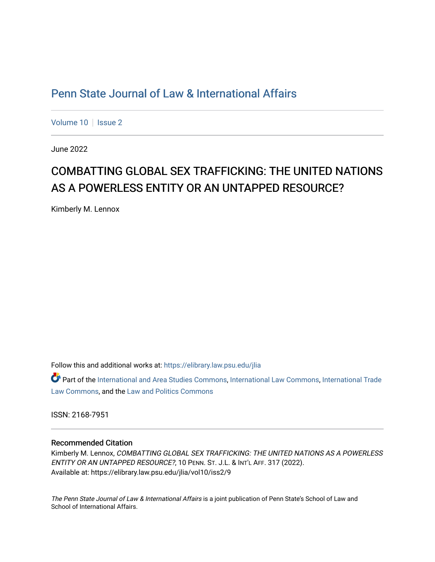# [Penn State Journal of Law & International Affairs](https://elibrary.law.psu.edu/jlia)

[Volume 10](https://elibrary.law.psu.edu/jlia/vol10) | [Issue 2](https://elibrary.law.psu.edu/jlia/vol10/iss2)

June 2022

# COMBATTING GLOBAL SEX TRAFFICKING: THE UNITED NATIONS AS A POWERLESS ENTITY OR AN UNTAPPED RESOURCE?

Kimberly M. Lennox

Follow this and additional works at: [https://elibrary.law.psu.edu/jlia](https://elibrary.law.psu.edu/jlia?utm_source=elibrary.law.psu.edu%2Fjlia%2Fvol10%2Fiss2%2F9&utm_medium=PDF&utm_campaign=PDFCoverPages) 

Part of the [International and Area Studies Commons,](https://network.bepress.com/hgg/discipline/360?utm_source=elibrary.law.psu.edu%2Fjlia%2Fvol10%2Fiss2%2F9&utm_medium=PDF&utm_campaign=PDFCoverPages) [International Law Commons](https://network.bepress.com/hgg/discipline/609?utm_source=elibrary.law.psu.edu%2Fjlia%2Fvol10%2Fiss2%2F9&utm_medium=PDF&utm_campaign=PDFCoverPages), [International Trade](https://network.bepress.com/hgg/discipline/848?utm_source=elibrary.law.psu.edu%2Fjlia%2Fvol10%2Fiss2%2F9&utm_medium=PDF&utm_campaign=PDFCoverPages) [Law Commons,](https://network.bepress.com/hgg/discipline/848?utm_source=elibrary.law.psu.edu%2Fjlia%2Fvol10%2Fiss2%2F9&utm_medium=PDF&utm_campaign=PDFCoverPages) and the [Law and Politics Commons](https://network.bepress.com/hgg/discipline/867?utm_source=elibrary.law.psu.edu%2Fjlia%2Fvol10%2Fiss2%2F9&utm_medium=PDF&utm_campaign=PDFCoverPages)

ISSN: 2168-7951

## Recommended Citation

Kimberly M. Lennox, COMBATTING GLOBAL SEX TRAFFICKING: THE UNITED NATIONS AS A POWERLESS ENTITY OR AN UNTAPPED RESOURCE?, 10 PENN. ST. J.L. & INT'L AFF. 317 (2022). Available at: https://elibrary.law.psu.edu/jlia/vol10/iss2/9

The Penn State Journal of Law & International Affairs is a joint publication of Penn State's School of Law and School of International Affairs.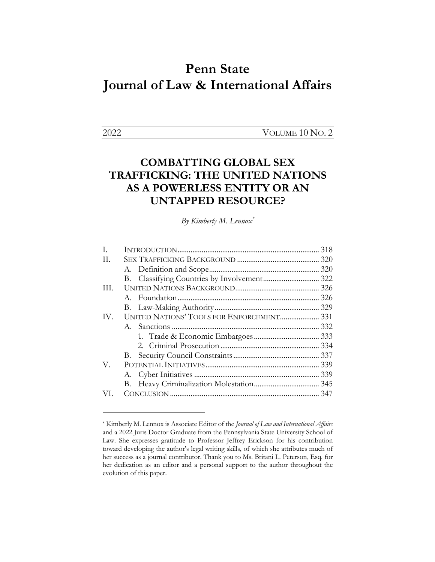# **Penn State Journal of Law & International Affairs**

2022 VOLUME 10 NO. 2

# **COMBATTING GLOBAL SEX TRAFFICKING: THE UNITED NATIONS AS A POWERLESS ENTITY OR AN UNTAPPED RESOURCE?**

*By Kimberly M. Lennox\**

| I.  |                                           |  |
|-----|-------------------------------------------|--|
| H.  |                                           |  |
|     |                                           |  |
|     |                                           |  |
| HL. |                                           |  |
|     |                                           |  |
|     |                                           |  |
| IV. | UNITED NATIONS' TOOLS FOR ENFORCEMENT 331 |  |
|     |                                           |  |
|     |                                           |  |
|     |                                           |  |
|     |                                           |  |
| V.  |                                           |  |
|     |                                           |  |
|     |                                           |  |
| VI. |                                           |  |
|     |                                           |  |

<sup>\*</sup> Kimberly M. Lennox is Associate Editor of the *Journal of Law and International Affairs* and a 2022 Juris Doctor Graduate from the Pennsylvania State University School of Law. She expresses gratitude to Professor Jeffrey Erickson for his contribution toward developing the author's legal writing skills, of which she attributes much of her success as a journal contributor. Thank you to Ms. Britani L. Peterson, Esq. for her dedication as an editor and a personal support to the author throughout the evolution of this paper.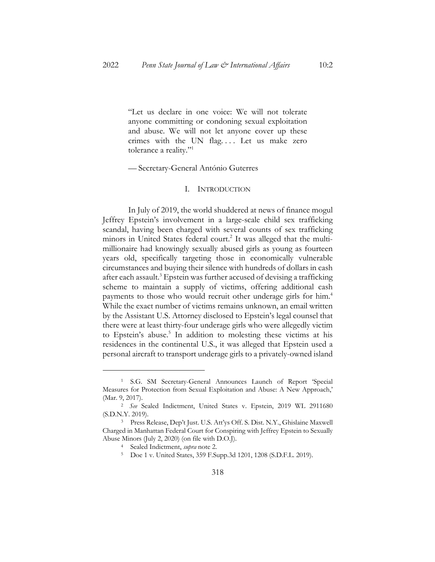"Let us declare in one voice: We will not tolerate anyone committing or condoning sexual exploitation and abuse. We will not let anyone cover up these crimes with the UN flag.... Let us make zero tolerance a reality."1

— Secretary-General António Guterres

#### I. INTRODUCTION

In July of 2019, the world shuddered at news of finance mogul Jeffrey Epstein's involvement in a large-scale child sex trafficking scandal, having been charged with several counts of sex trafficking minors in United States federal court.<sup>2</sup> It was alleged that the multimillionaire had knowingly sexually abused girls as young as fourteen years old, specifically targeting those in economically vulnerable circumstances and buying their silence with hundreds of dollars in cash after each assault.<sup>3</sup> Epstein was further accused of devising a trafficking scheme to maintain a supply of victims, offering additional cash payments to those who would recruit other underage girls for him.<sup>4</sup> While the exact number of victims remains unknown, an email written by the Assistant U.S. Attorney disclosed to Epstein's legal counsel that there were at least thirty-four underage girls who were allegedly victim to Epstein's abuse. <sup>5</sup> In addition to molesting these victims at his residences in the continental U.S., it was alleged that Epstein used a personal aircraft to transport underage girls to a privately-owned island

<sup>5</sup> Doe 1 v. United States, 359 F.Supp.3d 1201, 1208 (S.D.F.L. 2019).

<sup>1</sup> S.G. SM Secretary-General Announces Launch of Report 'Special Measures for Protection from Sexual Exploitation and Abuse: A New Approach,' (Mar. 9, 2017).

<sup>2</sup> *See* Sealed Indictment, United States v. Epstein, 2019 WL 2911680 (S.D.N.Y. 2019).

<sup>3</sup> Press Release, Dep't Just. U.S. Att'ys Off. S. Dist. N.Y., Ghislaine Maxwell Charged in Manhattan Federal Court for Conspiring with Jeffrey Epstein to Sexually Abuse Minors (July 2, 2020) (on file with D.O.J).

<sup>4</sup> Sealed Indictment, *supra* note 2.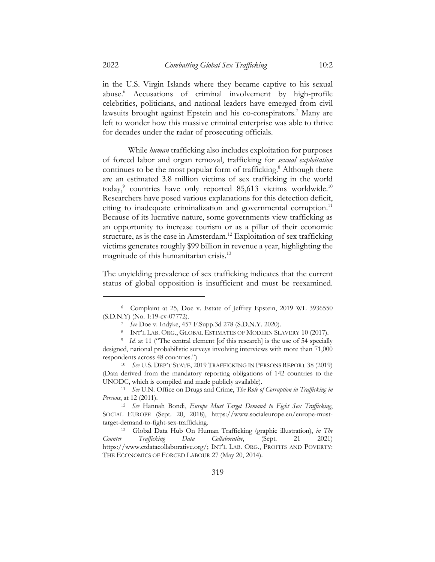in the U.S. Virgin Islands where they became captive to his sexual abuse.6 Accusations of criminal involvement by high-profile celebrities, politicians, and national leaders have emerged from civil lawsuits brought against Epstein and his co-conspirators.<sup>7</sup> Many are left to wonder how this massive criminal enterprise was able to thrive for decades under the radar of prosecuting officials.

While *human* trafficking also includes exploitation for purposes of forced labor and organ removal, trafficking for *sexual exploitation* continues to be the most popular form of trafficking.<sup>8</sup> Although there are an estimated 3.8 million victims of sex trafficking in the world today,<sup>9</sup> countries have only reported 85,613 victims worldwide.<sup>10</sup> Researchers have posed various explanations for this detection deficit, citing to inadequate criminalization and governmental corruption.<sup>11</sup> Because of its lucrative nature, some governments view trafficking as an opportunity to increase tourism or as a pillar of their economic structure, as is the case in Amsterdam. <sup>12</sup> Exploitation of sex trafficking victims generates roughly \$99 billion in revenue a year, highlighting the magnitude of this humanitarian crisis. 13

The unyielding prevalence of sex trafficking indicates that the current status of global opposition is insufficient and must be reexamined.

<sup>6</sup> Complaint at 25, Doe v. Estate of Jeffrey Epstein, 2019 WL 3936550 (S.D.N.Y) (No. 1:19-cv-07772).

<sup>7</sup> *See* Doe v. Indyke, 457 F.Supp.3d 278 (S.D.N.Y. 2020).

<sup>8</sup> INT'L LAB. ORG., GLOBAL ESTIMATES OF MODERN SLAVERY 10 (2017).

<sup>&</sup>lt;sup>9</sup> *Id.* at 11 ("The central element [of this research] is the use of 54 specially designed, national probabilistic surveys involving interviews with more than 71,000 respondents across 48 countries.")

<sup>10</sup> *See* U.S. DEP'T STATE, 2019 TRAFFICKING IN PERSONS REPORT 38 (2019) (Data derived from the mandatory reporting obligations of 142 countries to the UNODC, which is compiled and made publicly available).

<sup>11</sup> *See* U.N. Office on Drugs and Crime, *The Role of Corruption in Trafficking in Persons*, at 12 (2011).

<sup>12</sup> *See* Hannah Bondi, *Europe Must Target Demand to Fight Sex Trafficking*, SOCIAL EUROPE (Sept. 20, 2018), https://www.socialeurope.eu/europe-musttarget-demand-to-fight-sex-trafficking.

<sup>13</sup> Global Data Hub On Human Trafficking (graphic illustration), *in The Counter Trafficking Data Collaborative*, (Sept. 21 2021) https://www.ctdatacollaborative.org/; INT'L LAB. ORG., PROFITS AND POVERTY: THE ECONOMICS OF FORCED LABOUR 27 (May 20, 2014).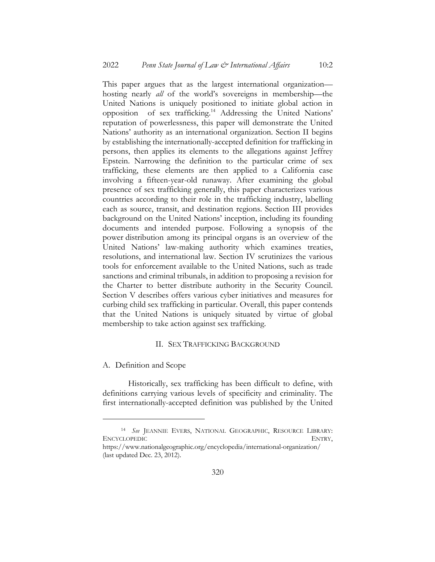This paper argues that as the largest international organization hosting nearly *all* of the world's sovereigns in membership—the United Nations is uniquely positioned to initiate global action in opposition of sex trafficking.14 Addressing the United Nations' reputation of powerlessness, this paper will demonstrate the United Nations' authority as an international organization. Section II begins by establishing the internationally-accepted definition for trafficking in persons, then applies its elements to the allegations against Jeffrey Epstein. Narrowing the definition to the particular crime of sex trafficking, these elements are then applied to a California case involving a fifteen-year-old runaway. After examining the global presence of sex trafficking generally, this paper characterizes various countries according to their role in the trafficking industry, labelling each as source, transit, and destination regions. Section III provides background on the United Nations' inception, including its founding documents and intended purpose. Following a synopsis of the power distribution among its principal organs is an overview of the United Nations' law-making authority which examines treaties, resolutions, and international law. Section IV scrutinizes the various tools for enforcement available to the United Nations, such as trade sanctions and criminal tribunals, in addition to proposing a revision for the Charter to better distribute authority in the Security Council. Section V describes offers various cyber initiatives and measures for curbing child sex trafficking in particular. Overall, this paper contends that the United Nations is uniquely situated by virtue of global membership to take action against sex trafficking.

#### II. SEX TRAFFICKING BACKGROUND

#### A. Definition and Scope

Historically, sex trafficking has been difficult to define, with definitions carrying various levels of specificity and criminality. The first internationally-accepted definition was published by the United

<sup>14</sup> *See* JEANNIE EVERS, NATIONAL GEOGRAPHIC, RESOURCE LIBRARY: ENCYCLOPEDIC ENTRY,

https://www.nationalgeographic.org/encyclopedia/international-organization/ (last updated Dec. 23, 2012).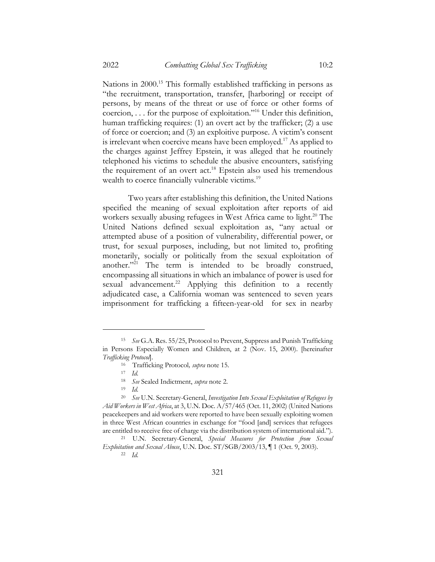Nations in 2000.<sup>15</sup> This formally established trafficking in persons as "the recruitment, transportation, transfer, [harboring] or receipt of persons, by means of the threat or use of force or other forms of coercion, . . . for the purpose of exploitation."16 Under this definition, human trafficking requires: (1) an overt act by the trafficker; (2) a use of force or coercion; and (3) an exploitive purpose. A victim's consent is irrelevant when coercive means have been employed.<sup>17</sup> As applied to the charges against Jeffrey Epstein, it was alleged that he routinely telephoned his victims to schedule the abusive encounters, satisfying the requirement of an overt act.<sup>18</sup> Epstein also used his tremendous wealth to coerce financially vulnerable victims.<sup>19</sup>

Two years after establishing this definition, the United Nations specified the meaning of sexual exploitation after reports of aid workers sexually abusing refugees in West Africa came to light. <sup>20</sup> The United Nations defined sexual exploitation as, "any actual or attempted abuse of a position of vulnerability, differential power, or trust, for sexual purposes, including, but not limited to, profiting monetarily, socially or politically from the sexual exploitation of another."<sup>21</sup> The term is intended to be broadly construed, encompassing all situations in which an imbalance of power is used for sexual advancement.<sup>22</sup> Applying this definition to a recently adjudicated case, a California woman was sentenced to seven years imprisonment for trafficking a fifteen-year-old for sex in nearby

<sup>15</sup> *See* G.A. Res. 55/25, Protocol to Prevent, Suppress and Punish Trafficking in Persons Especially Women and Children, at 2 (Nov. 15, 2000). [hereinafter *Trafficking Protocol*].

<sup>16</sup> Trafficking Protocol*, supra* note 15.

<sup>17</sup> *Id.*

<sup>18</sup> *See* Sealed Indictment, *supra* note 2.

<sup>19</sup> *Id.*

<sup>20</sup> *See* U.N. Secretary-General, *Investigation Into Sexual Exploitation of Refugees by Aid Workers in West Africa*, at 3, U.N. Doc. A/57/465 (Oct. 11, 2002) (United Nations peacekeepers and aid workers were reported to have been sexually exploiting women in three West African countries in exchange for "food [and] services that refugees are entitled to receive free of charge via the distribution system of international aid.").

<sup>21</sup> U.N. Secretary-General, *Special Measures for Protection from Sexual Exploitation and Sexual Abuse*, U.N. Doc. ST/SGB/2003/13, ¶ 1 (Oct. 9, 2003).

<sup>22</sup> *Id.*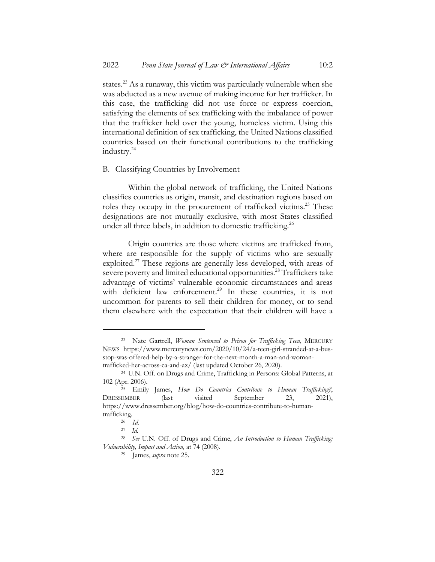states.<sup>23</sup> As a runaway, this victim was particularly vulnerable when she was abducted as a new avenue of making income for her trafficker. In this case, the trafficking did not use force or express coercion, satisfying the elements of sex trafficking with the imbalance of power that the trafficker held over the young, homeless victim. Using this international definition of sex trafficking, the United Nations classified countries based on their functional contributions to the trafficking industry.24

#### B. Classifying Countries by Involvement

Within the global network of trafficking, the United Nations classifies countries as origin, transit, and destination regions based on roles they occupy in the procurement of trafficked victims.<sup>25</sup> These designations are not mutually exclusive, with most States classified under all three labels, in addition to domestic trafficking.<sup>26</sup>

Origin countries are those where victims are trafficked from, where are responsible for the supply of victims who are sexually exploited.<sup>27</sup> These regions are generally less developed, with areas of severe poverty and limited educational opportunities.<sup>28</sup> Traffickers take advantage of victims' vulnerable economic circumstances and areas with deficient law enforcement.<sup>29</sup> In these countries, it is not uncommon for parents to sell their children for money, or to send them elsewhere with the expectation that their children will have a

<sup>23</sup> Nate Gartrell, *Woman Sentenced to Prison for Trafficking Teen*, MERCURY NEWS https://www.mercurynews.com/2020/10/24/a-teen-girl-stranded-at-a-busstop-was-offered-help-by-a-stranger-for-the-next-month-a-man-and-womantrafficked-her-across-ca-and-az/ (last updated October 26, 2020).

<sup>24</sup> U.N. Off. on Drugs and Crime, Trafficking in Persons: Global Patterns, at 102 (Apr. 2006).

<sup>25</sup> Emily James, *How Do Countries Contribute to Human Trafficking?*, DRESSEMBER (last visited September 23, 2021), https://www.dressember.org/blog/how-do-countries-contribute-to-humantrafficking.

<sup>26</sup> *Id.*

<sup>27</sup> *Id.*

<sup>28</sup> *See* U.N. Off. of Drugs and Crime, *An Introduction to Human Trafficking: Vulnerability, Impact and Action,* at 74 (2008).

<sup>29</sup> James, *supra* note 25.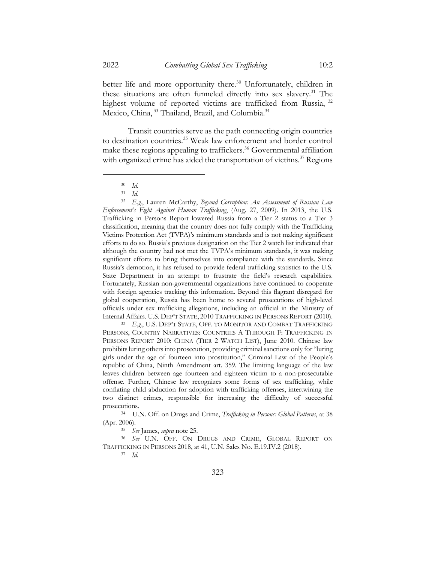better life and more opportunity there.<sup>30</sup> Unfortunately, children in these situations are often funneled directly into sex slavery.31 The highest volume of reported victims are trafficked from Russia, <sup>32</sup> Mexico, China, <sup>33</sup> Thailand, Brazil, and Columbia.<sup>34</sup>

Transit countries serve as the path connecting origin countries to destination countries.<sup>35</sup> Weak law enforcement and border control make these regions appealing to traffickers.<sup>36</sup> Governmental affiliation with organized crime has aided the transportation of victims.<sup>37</sup> Regions

<sup>32</sup> *E.g*., Lauren McCarthy, *Beyond Corruption: An Assessment of Russian Law Enforcement's Fight Against Human Trafficking*, (Aug. 27, 2009). In 2013, the U.S. Trafficking in Persons Report lowered Russia from a Tier 2 status to a Tier 3 classification, meaning that the country does not fully comply with the Trafficking Victims Protection Act (TVPA)'s minimum standards and is not making significant efforts to do so. Russia's previous designation on the Tier 2 watch list indicated that although the country had not met the TVPA's minimum standards, it was making significant efforts to bring themselves into compliance with the standards. Since Russia's demotion, it has refused to provide federal trafficking statistics to the U.S. State Department in an attempt to frustrate the field's research capabilities. Fortunately, Russian non-governmental organizations have continued to cooperate with foreign agencies tracking this information. Beyond this flagrant disregard for global cooperation, Russia has been home to several prosecutions of high-level officials under sex trafficking allegations, including an official in the Ministry of Internal Affairs. U.S. DEP'T STATE, 2010 TRAFFICKING IN PERSONS REPORT (2010).

<sup>33</sup> *E.g*., U.S. DEP'T STATE, OFF. TO MONITOR AND COMBAT TRAFFICKING PERSONS, COUNTRY NARRATIVES: COUNTRIES A THROUGH F: TRAFFICKING IN PERSONS REPORT 2010: CHINA (TIER 2 WATCH LIST), June 2010. Chinese law prohibits luring others into prosecution, providing criminal sanctions only for "luring girls under the age of fourteen into prostitution," Criminal Law of the People's republic of China, Ninth Amendment art. 359. The limiting language of the law leaves children between age fourteen and eighteen victim to a non-prosecutable offense. Further, Chinese law recognizes some forms of sex trafficking, while conflating child abduction for adoption with trafficking offenses, intertwining the two distinct crimes, responsible for increasing the difficulty of successful prosecutions.

<sup>34</sup> U.N. Off. on Drugs and Crime, *Trafficking in Persons: Global Patterns*, at 38 (Apr. 2006).

<sup>35</sup> *See* James, *supra* note 25.

<sup>36</sup> *See* U.N. OFF. ON DRUGS AND CRIME, GLOBAL REPORT ON TRAFFICKING IN PERSONS 2018, at 41, U.N. Sales No. E.19.IV.2 (2018).

<sup>37</sup> *Id.*

<sup>30</sup> *Id*.

<sup>31</sup> *Id*.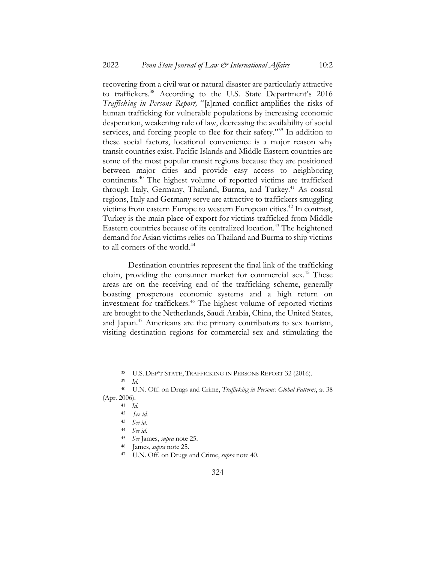recovering from a civil war or natural disaster are particularly attractive to traffickers. <sup>38</sup> According to the U.S. State Department's 2016 *Trafficking in Persons Report,* "[a]rmed conflict amplifies the risks of human trafficking for vulnerable populations by increasing economic desperation, weakening rule of law, decreasing the availability of social services, and forcing people to flee for their safety."<sup>39</sup> In addition to these social factors, locational convenience is a major reason why transit countries exist. Pacific Islands and Middle Eastern countries are some of the most popular transit regions because they are positioned between major cities and provide easy access to neighboring continents.40 The highest volume of reported victims are trafficked through Italy, Germany, Thailand, Burma, and Turkey.<sup>41</sup> As coastal regions, Italy and Germany serve are attractive to traffickers smuggling victims from eastern Europe to western European cities. <sup>42</sup> In contrast, Turkey is the main place of export for victims trafficked from Middle Eastern countries because of its centralized location. <sup>43</sup> The heightened demand for Asian victims relies on Thailand and Burma to ship victims to all corners of the world.<sup>44</sup>

Destination countries represent the final link of the trafficking chain, providing the consumer market for commercial sex.<sup>45</sup> These areas are on the receiving end of the trafficking scheme, generally boasting prosperous economic systems and a high return on investment for traffickers.<sup>46</sup> The highest volume of reported victims are brought to the Netherlands, Saudi Arabia, China, the United States, and Japan.<sup>47</sup> Americans are the primary contributors to sex tourism, visiting destination regions for commercial sex and stimulating the

<sup>39</sup> *Id.*

<sup>38</sup> U.S. DEP'T STATE, TRAFFICKING IN PERSONS REPORT 32 (2016).

<sup>40</sup> U.N. Off. on Drugs and Crime, *Trafficking in Persons: Global Patterns*, at 38 (Apr. 2006).

<sup>41</sup> *Id.*

<sup>42</sup> *See id.*

<sup>43</sup> *See id.*

<sup>44</sup> *See id.*

<sup>45</sup> *See* James, *supra* note 25.

<sup>46</sup> James, *supra* note 25.

<sup>47</sup> U.N. Off. on Drugs and Crime, *supra* note 40.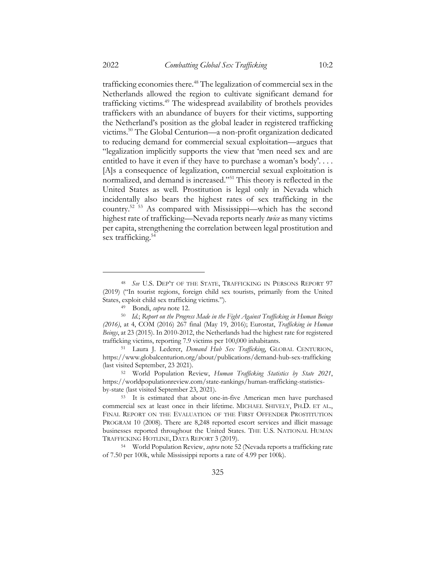trafficking economies there. <sup>48</sup> The legalization of commercial sex in the Netherlands allowed the region to cultivate significant demand for trafficking victims. <sup>49</sup> The widespread availability of brothels provides traffickers with an abundance of buyers for their victims, supporting the Netherland's position as the global leader in registered trafficking victims.<sup>50</sup> The Global Centurion—a non-profit organization dedicated to reducing demand for commercial sexual exploitation—argues that "legalization implicitly supports the view that 'men need sex and are entitled to have it even if they have to purchase a woman's body'. . . . [A]s a consequence of legalization, commercial sexual exploitation is normalized, and demand is increased."51 This theory is reflected in the United States as well. Prostitution is legal only in Nevada which incidentally also bears the highest rates of sex trafficking in the country.52 <sup>53</sup> As compared with Mississippi—which has the second highest rate of trafficking—Nevada reports nearly *twice* as many victims per capita, strengthening the correlation between legal prostitution and sex trafficking.<sup>54</sup>

<sup>48</sup> *See* U.S. DEP'T OF THE STATE, TRAFFICKING IN PERSONS REPORT 97 (2019) ("In tourist regions, foreign child sex tourists, primarily from the United States, exploit child sex trafficking victims.").

<sup>49</sup> Bondi, *supra* note 12.

<sup>50</sup> *Id.*; *Report on the Progress Made in the Fight Against Trafficking in Human Beings (2016)*, at 4, COM (2016) 267 final (May 19, 2016); Eurostat, *Trafficking in Human Beings*, at 23 (2015). In 2010-2012, the Netherlands had the highest rate for registered trafficking victims, reporting 7.9 victims per 100,000 inhabitants.

<sup>51</sup> Laura J. Lederer, *Demand Hub Sex Trafficking*, GLOBAL CENTURION, https://www.globalcenturion.org/about/publications/demand-hub-sex-trafficking (last visited September, 23 2021).

<sup>52</sup> World Population Review, *Human Trafficking Statistics by State 2021*, https://worldpopulationreview.com/state-rankings/human-trafficking-statisticsby-state (last visited September 23, 2021).

<sup>53</sup> It is estimated that about one-in-five American men have purchased commercial sex at least once in their lifetime. MICHAEL SHIVELY, PH.D. ET AL., FINAL REPORT ON THE EVALUATION OF THE FIRST OFFENDER PROSTITUTION PROGRAM 10 (2008). There are 8,248 reported escort services and illicit massage businesses reported throughout the United States. THE U.S. NATIONAL HUMAN TRAFFICKING HOTLINE, DATA REPORT 3 (2019).

<sup>54</sup> World Population Review, *supra* note 52 (Nevada reports a trafficking rate of 7.50 per 100k, while Mississippi reports a rate of 4.99 per 100k).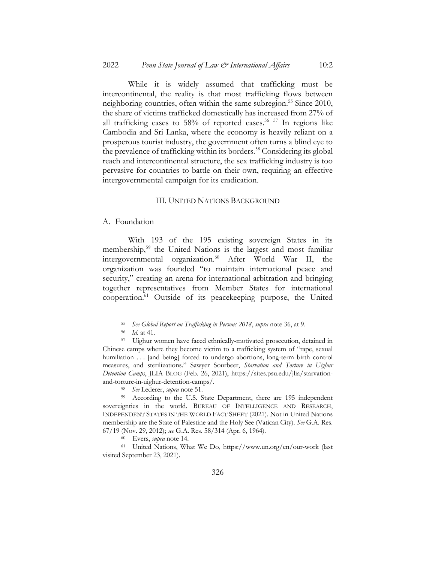While it is widely assumed that trafficking must be intercontinental, the reality is that most trafficking flows between neighboring countries, often within the same subregion.<sup>55</sup> Since 2010, the share of victims trafficked domestically has increased from 27% of all trafficking cases to  $58\%$  of reported cases.<sup>56 57</sup> In regions like Cambodia and Sri Lanka, where the economy is heavily reliant on a prosperous tourist industry, the government often turns a blind eye to the prevalence of trafficking within its borders.<sup>58</sup> Considering its global reach and intercontinental structure, the sex trafficking industry is too pervasive for countries to battle on their own, requiring an effective intergovernmental campaign for its eradication.

### III. UNITED NATIONS BACKGROUND

#### A. Foundation

With 193 of the 195 existing sovereign States in its membership,59 the United Nations is the largest and most familiar intergovernmental organization.<sup>60</sup> After World War II, the organization was founded "to maintain international peace and security," creating an arena for international arbitration and bringing together representatives from Member States for international cooperation.61 Outside of its peacekeeping purpose, the United

<sup>55</sup> *See Global Report on Trafficking in Persons 2018*, *supra* note 36, at 9.

<sup>56</sup> *Id.* at 41.

<sup>57</sup> Uighur women have faced ethnically-motivated prosecution, detained in Chinese camps where they become victim to a trafficking system of "rape, sexual humiliation . . . [and being] forced to undergo abortions, long-term birth control measures, and sterilizations." Sawyer Sourbeer, *Starvation and Torture in Uighur Detention Camps*, JLIA BLOG (Feb. 26, 2021), https://sites.psu.edu/jlia/starvationand-torture-in-uighur-detention-camps/.

<sup>58</sup> *See* Lederer, *supra* note 51.

<sup>59</sup> According to the U.S. State Department, there are 195 independent sovereignties in the world. BUREAU OF INTELLIGENCE AND RESEARCH, INDEPENDENT STATES IN THE WORLD FACT SHEET (2021). Not in United Nations membership are the State of Palestine and the Holy See (Vatican City). *See* G.A. Res. 67/19 (Nov. 29, 2012); *see* G.A. Res. 58/314 (Apr. 6, 1964).

<sup>60</sup> Evers, *supra* note 14.

<sup>61</sup> United Nations, What We Do, https://www.un.org/en/our-work (last visited September 23, 2021).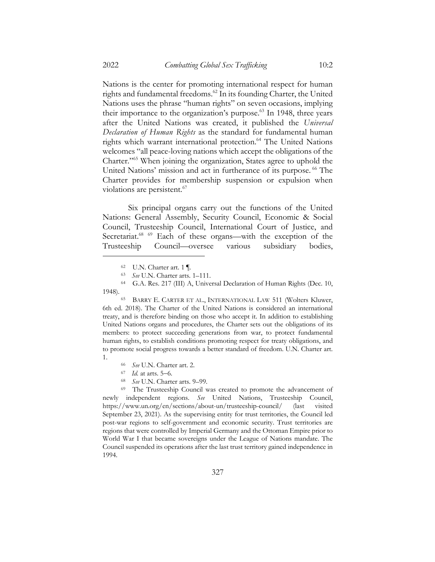Nations is the center for promoting international respect for human rights and fundamental freedoms.<sup>62</sup> In its founding Charter, the United Nations uses the phrase "human rights" on seven occasions, implying their importance to the organization's purpose.<sup>63</sup> In 1948, three years after the United Nations was created, it published the *Universal Declaration of Human Rights* as the standard for fundamental human rights which warrant international protection.<sup>64</sup> The United Nations welcomes "all peace-loving nations which accept the obligations of the Charter."65 When joining the organization, States agree to uphold the United Nations' mission and act in furtherance of its purpose. <sup>66</sup> The Charter provides for membership suspension or expulsion when violations are persistent.<sup>67</sup>

Six principal organs carry out the functions of the United Nations: General Assembly, Security Council, Economic & Social Council, Trusteeship Council, International Court of Justice, and Secretariat.<sup>68 69</sup> Each of these organs—with the exception of the Trusteeship Council—oversee various subsidiary bodies,

<sup>65</sup> BARRY E. CARTER ET AL., INTERNATIONAL LAW 511 (Wolters Kluwer, 6th ed. 2018). The Charter of the United Nations is considered an international treaty, and is therefore binding on those who accept it. In addition to establishing United Nations organs and procedures, the Charter sets out the obligations of its members: to protect succeeding generations from war, to protect fundamental human rights, to establish conditions promoting respect for treaty obligations, and to promote social progress towards a better standard of freedom. U.N. Charter art. 1.

- <sup>66</sup> *See* U.N. Charter art. 2.
- <sup>67</sup> *Id.* at arts. 5-6.
- <sup>68</sup> *See* U.N. Charter arts. 9–99.

<sup>69</sup> The Trusteeship Council was created to promote the advancement of newly independent regions. *See* United Nations, Trusteeship Council, https://www.un.org/en/sections/about-un/trusteeship-council/ (last visited September 23, 2021). As the supervising entity for trust territories, the Council led post-war regions to self-government and economic security. Trust territories are regions that were controlled by Imperial Germany and the Ottoman Empire prior to World War I that became sovereigns under the League of Nations mandate. The Council suspended its operations after the last trust territory gained independence in 1994.

<sup>62</sup> U.N. Charter art. 1 ¶.

<sup>63</sup> *See* U.N. Charter arts. 1–111.

<sup>64</sup> G.A. Res. 217 (III) A, Universal Declaration of Human Rights (Dec. 10, 1948).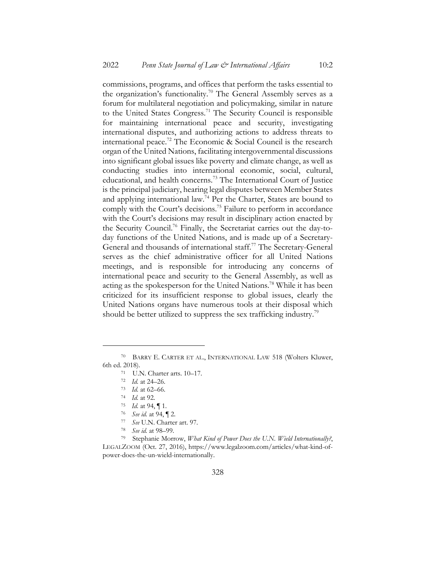commissions, programs, and offices that perform the tasks essential to the organization's functionality.<sup>70</sup> The General Assembly serves as a forum for multilateral negotiation and policymaking, similar in nature to the United States Congress.<sup>71</sup> The Security Council is responsible for maintaining international peace and security, investigating international disputes, and authorizing actions to address threats to international peace.72 The Economic & Social Council is the research organ of the United Nations, facilitating intergovernmental discussions into significant global issues like poverty and climate change, as well as conducting studies into international economic, social, cultural, educational, and health concerns.<sup>73</sup> The International Court of Justice is the principal judiciary, hearing legal disputes between Member States and applying international law.74 Per the Charter, States are bound to comply with the Court's decisions.<sup>75</sup> Failure to perform in accordance with the Court's decisions may result in disciplinary action enacted by the Security Council.76 Finally, the Secretariat carries out the day-today functions of the United Nations, and is made up of a Secretary-General and thousands of international staff.<sup>77</sup> The Secretary-General serves as the chief administrative officer for all United Nations meetings, and is responsible for introducing any concerns of international peace and security to the General Assembly, as well as acting as the spokesperson for the United Nations.78 While it has been criticized for its insufficient response to global issues, clearly the United Nations organs have numerous tools at their disposal which should be better utilized to suppress the sex trafficking industry.<sup>79</sup>

- <sup>77</sup> *See* U.N. Charter art. 97.
- <sup>78</sup> *See id.* at 98–99.

<sup>79</sup> Stephanie Morrow, *What Kind of Power Does the U.N. Wield Internationally?*, LEGALZOOM (Oct. 27, 2016), https://www.legalzoom.com/articles/what-kind-ofpower-does-the-un-wield-internationally.

<sup>70</sup> BARRY E. CARTER ET AL., INTERNATIONAL LAW 518 (Wolters Kluwer, 6th ed. 2018).

<sup>71</sup> U.N. Charter arts. 10–17.

<sup>72</sup> *Id.* at 24–26.

<sup>73</sup> *Id.* at 62–66.

<sup>74</sup> *Id.* at 92.

<sup>75</sup> *Id.* at 94, ¶ 1.

<sup>76</sup> *See id.* at 94, ¶ 2.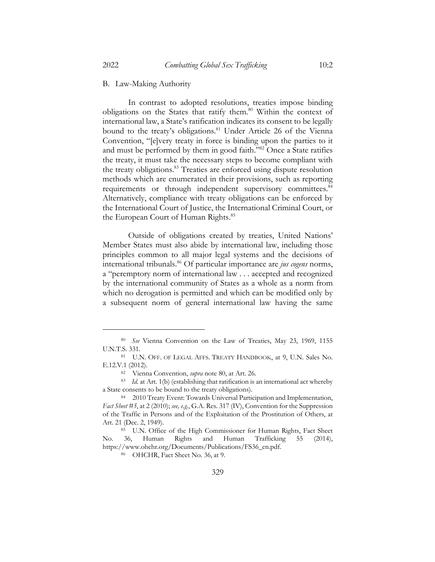### B. Law-Making Authority

In contrast to adopted resolutions, treaties impose binding obligations on the States that ratify them.<sup>80</sup> Within the context of international law, a State's ratification indicates its consent to be legally bound to the treaty's obligations.<sup>81</sup> Under Article 26 of the Vienna Convention, "[e]very treaty in force is binding upon the parties to it and must be performed by them in good faith."82 Once a State ratifies the treaty, it must take the necessary steps to become compliant with the treaty obligations.<sup>83</sup> Treaties are enforced using dispute resolution methods which are enumerated in their provisions, such as reporting requirements or through independent supervisory committees.<sup>84</sup> Alternatively, compliance with treaty obligations can be enforced by the International Court of Justice, the International Criminal Court, or the European Court of Human Rights.<sup>85</sup>

Outside of obligations created by treaties, United Nations' Member States must also abide by international law, including those principles common to all major legal systems and the decisions of international tribunals.86 Of particular importance are *jus cogens* norms, a "peremptory norm of international law . . . accepted and recognized by the international community of States as a whole as a norm from which no derogation is permitted and which can be modified only by a subsequent norm of general international law having the same

<sup>80</sup> *See* Vienna Convention on the Law of Treaties, May 23, 1969, 1155 U.N.T.S. 331.

<sup>81</sup> U.N. OFF. OF LEGAL AFFS. TREATY HANDBOOK, at 9, U.N. Sales No. E.12.V.1 (2012).

<sup>82</sup> Vienna Convention, *supra* note 80, at Art. 26.

<sup>83</sup> *Id.* at Art. 1(b) (establishing that ratification is an international act whereby a State consents to be bound to the treaty obligations).

<sup>84</sup> 2010 Treaty Event: Towards Universal Participation and Implementation, *Fact Sheet #5*, at 2 (2010); *see, e.g.*, G.A. Res. 317 (IV), Convention for the Suppression of the Traffic in Persons and of the Exploitation of the Prostitution of Others, at Art. 21 (Dec. 2, 1949).

<sup>85</sup> U.N. Office of the High Commissioner for Human Rights, Fact Sheet No. 36, Human Rights and Human Trafficking 55 (2014), https://www.ohchr.org/Documents/Publications/FS36\_en.pdf.

<sup>86</sup> OHCHR, Fact Sheet No. 36, at 9.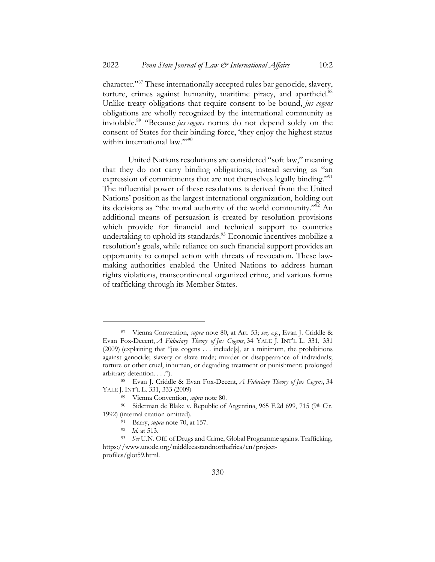character."87 These internationally accepted rules bar genocide, slavery, torture, crimes against humanity, maritime piracy, and apartheid.<sup>88</sup> Unlike treaty obligations that require consent to be bound, *jus cogens* obligations are wholly recognized by the international community as inviolable.89 "Because *jus cogens* norms do not depend solely on the consent of States for their binding force, 'they enjoy the highest status within international law.""<sup>90</sup>

United Nations resolutions are considered "soft law," meaning that they do not carry binding obligations, instead serving as "an expression of commitments that are not themselves legally binding."<sup>91</sup> The influential power of these resolutions is derived from the United Nations' position as the largest international organization, holding out its decisions as "the moral authority of the world community."92 An additional means of persuasion is created by resolution provisions which provide for financial and technical support to countries undertaking to uphold its standards.<sup>93</sup> Economic incentives mobilize a resolution's goals, while reliance on such financial support provides an opportunity to compel action with threats of revocation. These lawmaking authorities enabled the United Nations to address human rights violations, transcontinental organized crime, and various forms of trafficking through its Member States.

<sup>87</sup> Vienna Convention, *supra* note 80, at Art. 53; *see, e.g*., Evan J. Criddle & Evan Fox-Decent, *A Fiduciary Theory of Jus Cogens*, 34 YALE J. INT'L L. 331, 331 (2009) (explaining that "jus cogens . . . include[s], at a minimum, the prohibitions against genocide; slavery or slave trade; murder or disappearance of individuals; torture or other cruel, inhuman, or degrading treatment or punishment; prolonged arbitrary detention. . . .").

<sup>88</sup> Evan J. Criddle & Evan Fox-Decent, *A Fiduciary Theory of Jus Cogens*, 34 YALE J. INT'L L. 331, 333 (2009)

<sup>89</sup> Vienna Convention, *supra* note 80.

<sup>&</sup>lt;sup>90</sup> Siderman de Blake v. Republic of Argentina, 965 F.2d 699, 715 (9th Cir. 1992) (internal citation omitted).

<sup>91</sup> Barry, *supra* note 70, at 157.

<sup>92</sup> *Id.* at 513.

<sup>93</sup> *See* U.N. Off. of Drugs and Crime, Global Programme against Trafficking, https://www.unodc.org/middleeastandnorthafrica/en/projectprofiles/glot59.html.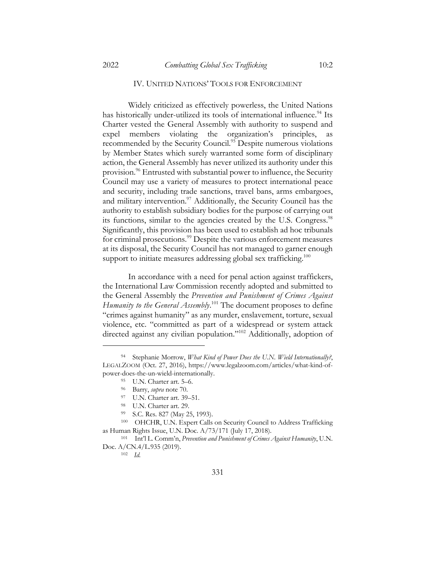#### IV. UNITED NATIONS' TOOLS FOR ENFORCEMENT

Widely criticized as effectively powerless, the United Nations has historically under-utilized its tools of international influence.<sup>94</sup> Its Charter vested the General Assembly with authority to suspend and expel members violating the organization's principles, as recommended by the Security Council.<sup>95</sup> Despite numerous violations by Member States which surely warranted some form of disciplinary action, the General Assembly has never utilized its authority under this provision.<sup>96</sup> Entrusted with substantial power to influence, the Security Council may use a variety of measures to protect international peace and security, including trade sanctions, travel bans, arms embargoes, and military intervention.<sup>97</sup> Additionally, the Security Council has the authority to establish subsidiary bodies for the purpose of carrying out its functions, similar to the agencies created by the U.S. Congress.<sup>98</sup> Significantly, this provision has been used to establish ad hoc tribunals for criminal prosecutions.<sup>99</sup> Despite the various enforcement measures at its disposal, the Security Council has not managed to garner enough support to initiate measures addressing global sex trafficking.<sup>100</sup>

In accordance with a need for penal action against traffickers, the International Law Commission recently adopted and submitted to the General Assembly the *Prevention and Punishment of Crimes Against Humanity to the General Assembly*. <sup>101</sup> The document proposes to define "crimes against humanity" as any murder, enslavement, torture, sexual violence, etc. "committed as part of a widespread or system attack directed against any civilian population."<sup>102</sup> Additionally, adoption of

Stephanie Morrow, *What Kind of Power Does the U.N. Wield Internationally?*, LEGALZOOM (Oct. 27, 2016), https://www.legalzoom.com/articles/what-kind-ofpower-does-the-un-wield-internationally.

<sup>95</sup> U.N. Charter art. 5–6.

<sup>96</sup> Barry, *supra* note 70.

<sup>97</sup> U.N. Charter art. 39–51.

<sup>98</sup> U.N. Charter art. 29.

<sup>99</sup> S.C. Res. 827 (May 25, 1993).

<sup>100</sup> OHCHR, U.N. Expert Calls on Security Council to Address Trafficking as Human Rights Issue, U.N. Doc. A/73/171 (July 17, 2018).

<sup>101</sup> Int'l L. Comm'n, *Prevention and Punishment of Crimes Against Humanity*, U.N. Doc. A/CN.4/L.935 (2019).

<sup>102</sup> *Id.*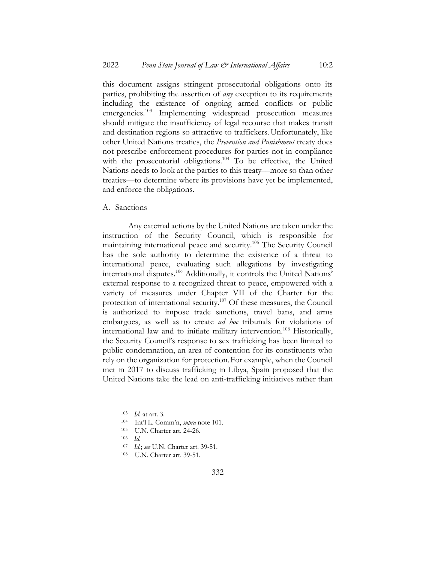this document assigns stringent prosecutorial obligations onto its parties, prohibiting the assertion of *any* exception to its requirements including the existence of ongoing armed conflicts or public emergencies.<sup>103</sup> Implementing widespread prosecution measures should mitigate the insufficiency of legal recourse that makes transit and destination regions so attractive to traffickers. Unfortunately, like other United Nations treaties, the *Prevention and Punishment* treaty does not prescribe enforcement procedures for parties not in compliance with the prosecutorial obligations.<sup>104</sup> To be effective, the United Nations needs to look at the parties to this treaty––more so than other treaties––to determine where its provisions have yet be implemented, and enforce the obligations.

A. Sanctions

Any external actions by the United Nations are taken under the instruction of the Security Council, which is responsible for maintaining international peace and security.<sup>105</sup> The Security Council has the sole authority to determine the existence of a threat to international peace, evaluating such allegations by investigating international disputes.106 Additionally, it controls the United Nations' external response to a recognized threat to peace, empowered with a variety of measures under Chapter VII of the Charter for the protection of international security.<sup>107</sup> Of these measures, the Council is authorized to impose trade sanctions, travel bans, and arms embargoes, as well as to create *ad hoc* tribunals for violations of international law and to initiate military intervention.108 Historically, the Security Council's response to sex trafficking has been limited to public condemnation, an area of contention for its constituents who rely on the organization for protection.For example, when the Council met in 2017 to discuss trafficking in Libya, Spain proposed that the United Nations take the lead on anti-trafficking initiatives rather than

<sup>103</sup> *Id.* at art. 3.

<sup>104</sup> Int'l L. Comm'n, *supra* note 101.

<sup>105</sup> U.N. Charter art. 24-26.

<sup>106</sup> *Id.*

<sup>107</sup> *Id.*; *see* U.N. Charter art. 39-51.

<sup>108</sup> U.N. Charter art. 39-51.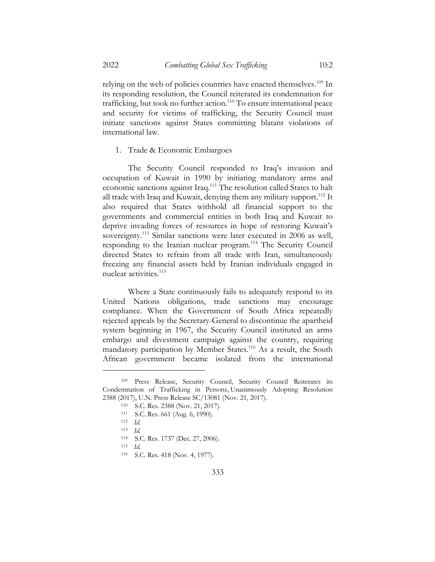relying on the web of policies countries have enacted themselves.<sup>109</sup> In its responding resolution, the Council reiterated its condemnation for trafficking, but took no further action.<sup>110</sup> To ensure international peace and security for victims of trafficking, the Security Council must initiate sanctions against States committing blatant violations of international law.

1. Trade & Economic Embargoes

The Security Council responded to Iraq's invasion and occupation of Kuwait in 1990 by initiating mandatory arms and economic sanctions against Iraq.111 The resolution called States to halt all trade with Iraq and Kuwait, denying them any military support.<sup>112</sup> It also required that States withhold all financial support to the governments and commercial entities in both Iraq and Kuwait to deprive invading forces of resources in hope of restoring Kuwait's sovereignty.<sup>113</sup> Similar sanctions were later executed in 2006 as well, responding to the Iranian nuclear program.<sup>114</sup> The Security Council directed States to refrain from all trade with Iran, simultaneously freezing any financial assets held by Iranian individuals engaged in nuclear activities.115

Where a State continuously fails to adequately respond to its United Nations obligations, trade sanctions may encourage compliance. When the Government of South Africa repeatedly rejected appeals by the Secretary-General to discontinue the apartheid system beginning in 1967, the Security Council instituted an arms embargo and divestment campaign against the country, requiring mandatory participation by Member States.<sup>116</sup> As a result, the South African government became isolated from the international

333

<sup>109</sup> Press Release, Security Council, Security Council Reiterates its Condemnation of Trafficking in Persons, Unanimously Adopting Resolution 2388 (2017), U.N. Press Release SC/13081 (Nov. 21, 2017).

<sup>110</sup> S.C. Res. 2388 (Nov. 21, 2017).

<sup>111</sup> S.C. Res. 661 (Aug. 6, 1990).

<sup>112</sup> *Id.*

<sup>113</sup> *Id.*

<sup>114</sup> S.C. Res. 1737 (Dec. 27, 2006).

<sup>115</sup> *Id.*

<sup>116</sup> S.C. Res. 418 (Nov. 4, 1977).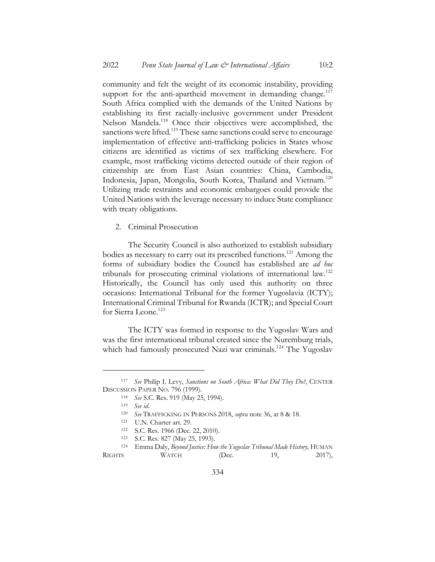community and felt the weight of its economic instability, providing support for the anti-apartheid movement in demanding change. $117$ South Africa complied with the demands of the United Nations by establishing its first racially-inclusive government under President Nelson Mandela.118 Once their objectives were accomplished, the sanctions were lifted.<sup>119</sup> These same sanctions could serve to encourage implementation of effective anti-trafficking policies in States whose citizens are identified as victims of sex trafficking elsewhere. For example, most trafficking victims detected outside of their region of citizenship are from East Asian countries: China, Cambodia, Indonesia, Japan, Mongolia, South Korea, Thailand and Vietnam.<sup>120</sup> Utilizing trade restraints and economic embargoes could provide the United Nations with the leverage necessary to induce State compliance with treaty obligations.

2. Criminal Prosecution

The Security Council is also authorized to establish subsidiary bodies as necessary to carry out its prescribed functions.121 Among the forms of subsidiary bodies the Council has established are *ad hoc* tribunals for prosecuting criminal violations of international law.122 Historically, the Council has only used this authority on three occasions: International Tribunal for the former Yugoslavia (ICTY); International Criminal Tribunal for Rwanda (ICTR); and Special Court for Sierra Leone.<sup>123</sup>

The ICTY was formed in response to the Yugoslav Wars and was the first international tribunal created since the Nuremburg trials, which had famously prosecuted Nazi war criminals.<sup>124</sup> The Yugoslav

<sup>117</sup> *See* Philip I. Levy, *Sanctions on South Africa: What Did They Do?*, CENTER DISCUSSION PAPER NO. 796 (1999).

<sup>118</sup> *See* S.C. Res. 919 (May 25, 1994).

<sup>119</sup> *See id.*

<sup>120</sup> *See* TRAFFICKING IN PERSONS 2018, *supra* note 36, at 8 & 18.

<sup>121</sup> U.N. Charter art. 29.

<sup>122</sup> S.C. Res. 1966 (Dec. 22, 2010).

<sup>123</sup> S.C. Res. 827 (May 25, 1993).

<sup>&</sup>lt;sup>124</sup> Emma Daly, *Beyond Justice: How the Yugoslav Tribunal Made History*, HUMAN RIGHTS WATCH (Dec. 19, 2017),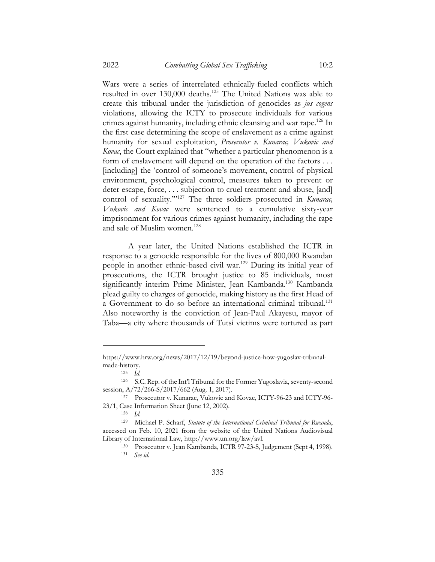Wars were a series of interrelated ethnically-fueled conflicts which resulted in over 130,000 deaths.125 The United Nations was able to create this tribunal under the jurisdiction of genocides as *jus cogens*  violations, allowing the ICTY to prosecute individuals for various crimes against humanity, including ethnic cleansing and war rape.<sup>126</sup> In the first case determining the scope of enslavement as a crime against humanity for sexual exploitation, *Prosecutor v. Kunarac, Vukovic and Kovac*, the Court explained that "whether a particular phenomenon is a form of enslavement will depend on the operation of the factors . . . [including] the 'control of someone's movement, control of physical environment, psychological control, measures taken to prevent or deter escape, force, . . . subjection to cruel treatment and abuse, [and] control of sexuality."<sup>127</sup> The three soldiers prosecuted in *Kunarac*, *Vukovic and Kovac* were sentenced to a cumulative sixty-year imprisonment for various crimes against humanity, including the rape and sale of Muslim women.<sup>128</sup>

A year later, the United Nations established the ICTR in response to a genocide responsible for the lives of 800,000 Rwandan people in another ethnic-based civil war.129 During its initial year of prosecutions, the ICTR brought justice to 85 individuals, most significantly interim Prime Minister, Jean Kambanda.<sup>130</sup> Kambanda plead guilty to charges of genocide, making history as the first Head of a Government to do so before an international criminal tribunal.<sup>131</sup> Also noteworthy is the conviction of Jean-Paul Akayesu, mayor of Taba––a city where thousands of Tutsi victims were tortured as part

https://www.hrw.org/news/2017/12/19/beyond-justice-how-yugoslav-tribunalmade-history.

<sup>125</sup> *Id.*

<sup>126</sup> S.C. Rep. of the Int'l Tribunal for the Former Yugoslavia, seventy-second session, A/72/266-S/2017/662 (Aug. 1, 2017).

<sup>127</sup> Prosecutor v. Kunarac, Vukovic and Kovac, ICTY-96-23 and ICTY-96- 23/1, Case Information Sheet (June 12, 2002).

<sup>128</sup> *Id.*

<sup>129</sup> Michael P. Scharf, *Statute of the International Criminal Tribunal for Rwanda*, accessed on Feb. 10, 2021 from the website of the United Nations Audiovisual Library of International Law, http://www.un.org/law/avl.

<sup>130</sup> Prosecutor v. Jean Kambanda, ICTR 97-23-S, Judgement (Sept 4, 1998). <sup>131</sup> *See id.*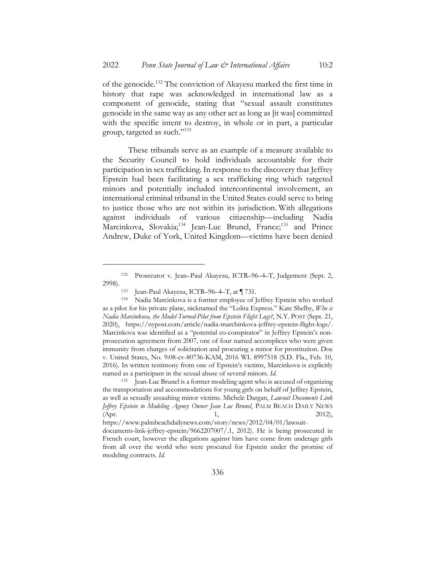of the genocide.132 The conviction of Akayesu marked the first time in history that rape was acknowledged in international law as a component of genocide, stating that "sexual assault constitutes genocide in the same way as any other act as long as [it was] committed with the specific intent to destroy, in whole or in part, a particular group, targeted as such."133

These tribunals serve as an example of a measure available to the Security Council to hold individuals accountable for their participation in sex trafficking. In response to the discovery that Jeffrey Epstein had been facilitating a sex trafficking ring which targeted minors and potentially included intercontinental involvement, an international criminal tribunal in the United States could serve to bring to justice those who are not within its jurisdiction. With allegations against individuals of various citizenship––including Nadia Marcinkova, Slovakia;<sup>134</sup> Jean-Luc Brunel, France;<sup>135</sup> and Prince Andrew, Duke of York, United Kingdom––victims have been denied

<sup>132</sup> Prosecutor v. Jean–Paul Akayesu, ICTR–96–4–T, Judgement (Sept. 2, 2998).

<sup>133</sup> Jean-Paul Akayesu, ICTR–96–4–T, at ¶ 731.

<sup>134</sup> Nadia Marcinkova is a former employee of Jeffrey Epstein who worked as a pilot for his private plane, nicknamed the "Lolita Express." Kate Shelby, *Who is Nadia Marcinkova, the Model-Turned-Pilot from Epstein Flight Logs?*, N.Y. POST (Sept. 21, 2020), https://nypost.com/article/nadia-marchinkova-jeffrey-epstein-flight-logs/. Marcinkova was identified as a "potential co-conspirator" in Jeffrey Epstein's nonprosecution agreement from 2007, one of four named accomplices who were given immunity from charges of solicitation and procuring a minor for prostitution. Doe v. United States, No. 9:08-cv-80736-KAM, 2016 WL 8997518 (S.D. Fla., Feb. 10, 2016). In written testimony from one of Epstein's victims, Marcinkova is explicitly named as a participant in the sexual abuse of several minors. *Id.*

<sup>135</sup> Jean-Luc Brunel is a former modeling agent who is accused of organizing the transportation and accommodations for young girls on behalf of Jeffrey Epstein, as well as sexually assaulting minor victims. Michele Dargan, *Lawsuit Documents Link Jeffrey Epstein to Modeling Agency Owner Jean Luc Brunel*, PALM BEACH DAILY NEWS (Apr. 2012),

https://www.palmbeachdailynews.com/story/news/2012/04/01/lawsuit-

documents-link-jeffrey-epstein/9662207007/.1, 2012). He is being prosecuted in French court, however the allegations against him have come from underage girls from all over the world who were procured for Epstein under the promise of modeling contracts. *Id.*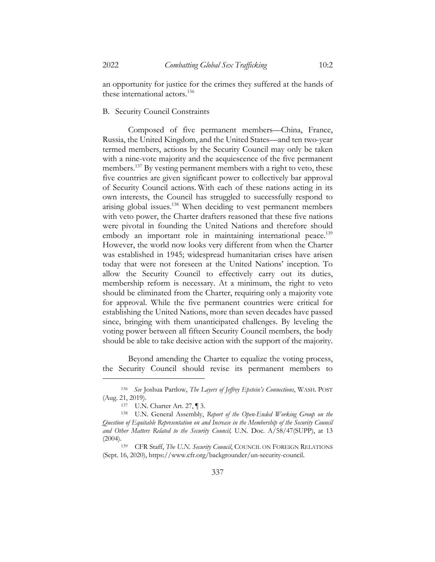an opportunity for justice for the crimes they suffered at the hands of these international actors.<sup>136</sup>

## B. Security Council Constraints

Composed of five permanent members––China, France, Russia, the United Kingdom, and the United States––and ten two-year termed members, actions by the Security Council may only be taken with a nine-vote majority and the acquiescence of the five permanent members.<sup>137</sup> By vesting permanent members with a right to veto, these five countries are given significant power to collectively bar approval of Security Council actions. With each of these nations acting in its own interests, the Council has struggled to successfully respond to arising global issues.<sup>138</sup> When deciding to vest permanent members with veto power, the Charter drafters reasoned that these five nations were pivotal in founding the United Nations and therefore should embody an important role in maintaining international peace.<sup>139</sup> However, the world now looks very different from when the Charter was established in 1945; widespread humanitarian crises have arisen today that were not foreseen at the United Nations' inception. To allow the Security Council to effectively carry out its duties, membership reform is necessary. At a minimum, the right to veto should be eliminated from the Charter, requiring only a majority vote for approval. While the five permanent countries were critical for establishing the United Nations, more than seven decades have passed since, bringing with them unanticipated challenges. By leveling the voting power between all fifteen Security Council members, the body should be able to take decisive action with the support of the majority.

Beyond amending the Charter to equalize the voting process, the Security Council should revise its permanent members to

<sup>136</sup> *See* Joshua Partlow, *The Layers of Jeffrey Epstein's Connections*, WASH. POST (Aug. 21, 2019).

<sup>137</sup> U.N. Charter Art. 27, ¶ 3.

<sup>138</sup> U.N. General Assembly, *Report of the Open-Ended Working Group on the Question of Equitable Representation on and Increase in the Membership of the Security Council and Other Matters Related to the Security Council,* U.N. Doc. A/58/47(SUPP), at 13 (2004).139 CFR Staff, *The U.N. Security Council*, COUNCIL ON FOREIGN RELATIONS

<sup>(</sup>Sept. 16, 2020), https://www.cfr.org/backgrounder/un-security-council.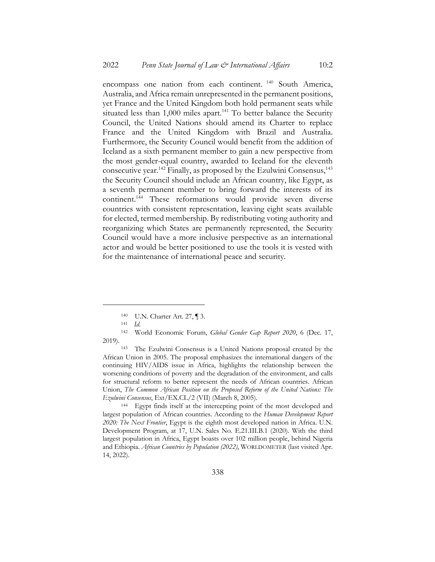encompass one nation from each continent. <sup>140</sup> South America, Australia, and Africa remain unrepresented in the permanent positions, yet France and the United Kingdom both hold permanent seats while situated less than  $1,000$  miles apart.<sup>141</sup> To better balance the Security Council, the United Nations should amend its Charter to replace France and the United Kingdom with Brazil and Australia. Furthermore, the Security Council would benefit from the addition of Iceland as a sixth permanent member to gain a new perspective from the most gender-equal country, awarded to Iceland for the eleventh consecutive year.<sup>142</sup> Finally, as proposed by the Ezulwini Consensus,<sup>143</sup> the Security Council should include an African country, like Egypt, as a seventh permanent member to bring forward the interests of its continent.144 These reformations would provide seven diverse countries with consistent representation, leaving eight seats available for elected, termed membership. By redistributing voting authority and reorganizing which States are permanently represented, the Security Council would have a more inclusive perspective as an international actor and would be better positioned to use the tools it is vested with for the maintenance of international peace and security.

<sup>140</sup> U.N. Charter Art. 27, ¶ 3.

<sup>141</sup> *Id.*

<sup>142</sup> World Economic Forum, *Global Gender Gap Report 2020*, 6 (Dec. 17, 2019).

<sup>143</sup> The Ezulwini Consensus is a United Nations proposal created by the African Union in 2005. The proposal emphasizes the international dangers of the continuing HIV/AIDS issue in Africa, highlights the relationship between the worsening conditions of poverty and the degradation of the environment, and calls for structural reform to better represent the needs of African countries. African Union, *The Common African Position on the Proposed Reform of the United Nations: The Ezulwini Consensus*, Ext/EX.CL/2 (VII) (March 8, 2005).

<sup>144</sup> Egypt finds itself at the intercepting point of the most developed and largest population of African countries. According to the *Human Development Report 2020: The Next Frontier*, Egypt is the eighth most developed nation in Africa. U.N. Development Program, at 17, U.N. Sales No. E.21.III.B.1 (2020). With the third largest population in Africa, Egypt boasts over 102 million people, behind Nigeria and Ethiopia. *African Countries by Population (2022)*, WORLDOMETER (last visited Apr. 14, 2022).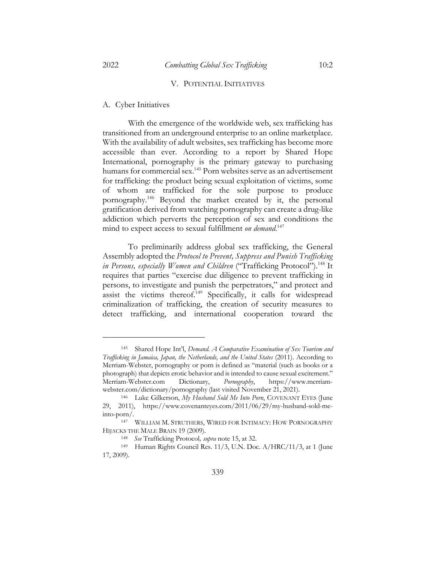#### V. POTENTIAL INITIATIVES

### A. Cyber Initiatives

With the emergence of the worldwide web, sex trafficking has transitioned from an underground enterprise to an online marketplace. With the availability of adult websites, sex trafficking has become more accessible than ever. According to a report by Shared Hope International, pornography is the primary gateway to purchasing humans for commercial sex.<sup>145</sup> Porn websites serve as an advertisement for trafficking: the product being sexual exploitation of victims, some of whom are trafficked for the sole purpose to produce pornography.146 Beyond the market created by it, the personal gratification derived from watching pornography can create a drug-like addiction which perverts the perception of sex and conditions the mind to expect access to sexual fulfillment *on demand*. 147

To preliminarily address global sex trafficking, the General Assembly adopted the *Protocol to Prevent, Suppress and Punish Trafficking in Persons, especially Women and Children* ("Trafficking Protocol").<sup>148</sup> It requires that parties "exercise due diligence to prevent trafficking in persons, to investigate and punish the perpetrators," and protect and assist the victims thereof. $149$  Specifically, it calls for widespread criminalization of trafficking, the creation of security measures to detect trafficking, and international cooperation toward the

<sup>145</sup> Shared Hope Int'l, *Demand. A Comparative Examination of Sex Tourism and Trafficking in Jamaica, Japan, the Netherlands, and the United States* (2011). According to Merriam-Webster, pornography or porn is defined as "material (such as books or a photograph) that depicts erotic behavior and is intended to cause sexual excitement." Merriam-Webster.com Dictionary, *Pornography*, https://www.merriamwebster.com/dictionary/pornography (last visited November 21, 2021).

<sup>146</sup> Luke Gilkerson, *My Husband Sold Me Into Porn*, COVENANT EYES (June 29, 2011), https://www.covenanteyes.com/2011/06/29/my-husband-sold-meinto-porn/.

<sup>147</sup> WILLIAM M. STRUTHERS, WIRED FOR INTIMACY: HOW PORNOGRAPHY HIJACKS THE MALE BRAIN 19 (2009).

<sup>148</sup> *See* Trafficking Protocol*, supra* note 15, at 32.

<sup>149</sup> Human Rights Council Res. 11/3, U.N. Doc. A/HRC/11/3, at 1 (June 17, 2009).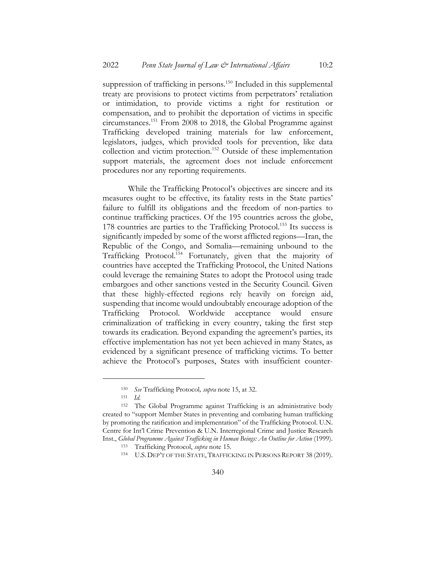suppression of trafficking in persons.<sup>150</sup> Included in this supplemental treaty are provisions to protect victims from perpetrators' retaliation or intimidation, to provide victims a right for restitution or compensation, and to prohibit the deportation of victims in specific circumstances.151 From 2008 to 2018, the Global Programme against Trafficking developed training materials for law enforcement, legislators, judges, which provided tools for prevention, like data collection and victim protection.<sup>152</sup> Outside of these implementation support materials, the agreement does not include enforcement procedures nor any reporting requirements.

While the Trafficking Protocol's objectives are sincere and its measures ought to be effective, its fatality rests in the State parties' failure to fulfill its obligations and the freedom of non-parties to continue trafficking practices. Of the 195 countries across the globe, 178 countries are parties to the Trafficking Protocol.<sup>153</sup> Its success is significantly impeded by some of the worst afflicted regions—Iran, the Republic of the Congo, and Somalia—remaining unbound to the Trafficking Protocol.154 Fortunately, given that the majority of countries have accepted the Trafficking Protocol, the United Nations could leverage the remaining States to adopt the Protocol using trade embargoes and other sanctions vested in the Security Council. Given that these highly-effected regions rely heavily on foreign aid, suspending that income would undoubtably encourage adoption of the Trafficking Protocol. Worldwide acceptance would ensure criminalization of trafficking in every country, taking the first step towards its eradication. Beyond expanding the agreement's parties, its effective implementation has not yet been achieved in many States, as evidenced by a significant presence of trafficking victims. To better achieve the Protocol's purposes, States with insufficient counter-

<sup>150</sup> *See* Trafficking Protocol*, supra* note 15, at 32.

<sup>151</sup> *Id.*

<sup>152</sup> The Global Programme against Trafficking is an administrative body created to "support Member States in preventing and combating human trafficking by promoting the ratification and implementation" of the Trafficking Protocol. U.N. Centre for Int'l Crime Prevention & U.N. Interregional Crime and Justice Research Inst., *Global Programme Against Trafficking in Human Beings: An Outline for Action* (1999).

<sup>153</sup> Trafficking Protocol, *supra* note 15.

<sup>&</sup>lt;sup>154</sup> U.S. DEP'T OF THE STATE, TRAFFICKING IN PERSONS REPORT 38 (2019).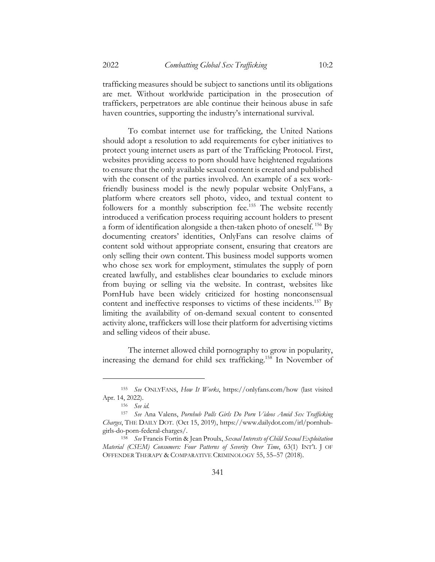trafficking measures should be subject to sanctions until its obligations are met. Without worldwide participation in the prosecution of traffickers, perpetrators are able continue their heinous abuse in safe haven countries, supporting the industry's international survival.

To combat internet use for trafficking, the United Nations should adopt a resolution to add requirements for cyber initiatives to protect young internet users as part of the Trafficking Protocol. First, websites providing access to porn should have heightened regulations to ensure that the only available sexual content is created and published with the consent of the parties involved. An example of a sex workfriendly business model is the newly popular website OnlyFans, a platform where creators sell photo, video, and textual content to followers for a monthly subscription fee.<sup>155</sup> The website recently introduced a verification process requiring account holders to present a form of identification alongside a then-taken photo of oneself. <sup>156</sup> By documenting creators' identities, OnlyFans can resolve claims of content sold without appropriate consent, ensuring that creators are only selling their own content. This business model supports women who chose sex work for employment, stimulates the supply of porn created lawfully, and establishes clear boundaries to exclude minors from buying or selling via the website. In contrast, websites like PornHub have been widely criticized for hosting nonconsensual content and ineffective responses to victims of these incidents.<sup>157</sup> By limiting the availability of on-demand sexual content to consented activity alone, traffickers will lose their platform for advertising victims and selling videos of their abuse.

The internet allowed child pornography to grow in popularity, increasing the demand for child sex trafficking.158 In November of

<sup>155</sup> *See* ONLYFANS, *How It Works*, https://onlyfans.com/how (last visited Apr. 14, 2022).

<sup>156</sup> *See id.*

<sup>157</sup> *See* Ana Valens, *Pornhub Pulls Girls Do Porn Videos Amid Sex Trafficking Charges*, THE DAILY DOT. (Oct 15, 2019), https://www.dailydot.com/irl/pornhubgirls-do-porn-federal-charges/.

<sup>158</sup> *See* Francis Fortin & Jean Proulx, *Sexual Interests of Child Sexual Exploitation Material (CSEM) Consumers: Four Patterns of Severity Over Time*, 63(1) INT'L J OF OFFENDER THERAPY & COMPARATIVE CRIMINOLOGY 55, 55–57 (2018).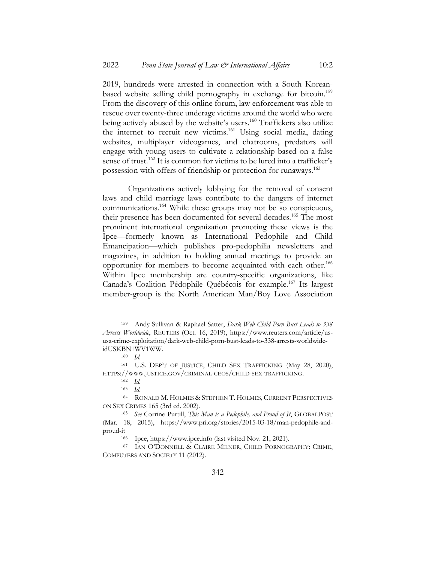2019, hundreds were arrested in connection with a South Koreanbased website selling child pornography in exchange for bitcoin.<sup>159</sup> From the discovery of this online forum, law enforcement was able to rescue over twenty-three underage victims around the world who were being actively abused by the website's users.<sup>160</sup> Traffickers also utilize the internet to recruit new victims.<sup>161</sup> Using social media, dating websites, multiplayer videogames, and chatrooms, predators will engage with young users to cultivate a relationship based on a false sense of trust.<sup>162</sup> It is common for victims to be lured into a trafficker's possession with offers of friendship or protection for runaways.163

Organizations actively lobbying for the removal of consent laws and child marriage laws contribute to the dangers of internet communications.164 While these groups may not be so conspicuous, their presence has been documented for several decades.<sup>165</sup> The most prominent international organization promoting these views is the Ipce––formerly known as International Pedophile and Child Emancipation––which publishes pro-pedophilia newsletters and magazines, in addition to holding annual meetings to provide an opportunity for members to become acquainted with each other.166 Within Ipce membership are country-specific organizations, like Canada's Coalition Pédophile Québécois for example.167 Its largest member-group is the North American Man/Boy Love Association

<sup>159</sup> Andy Sullivan & Raphael Satter, *Dark Web Child Porn Bust Leads to 338 Arrests Worldwide*, REUTERS (Oct. 16, 2019), https://www.reuters.com/article/ususa-crime-exploitation/dark-web-child-porn-bust-leads-to-338-arrests-worldwideidUSKBN1WV1WW.

<sup>160</sup> *Id.*

<sup>161</sup> U.S. DEP'T OF JUSTICE, CHILD SEX TRAFFICKING (May 28, 2020), HTTPS://WWW.JUSTICE.GOV/CRIMINAL-CEOS/CHILD-SEX-TRAFFICKING.

<sup>162</sup> *Id.*

 $\frac{163}{164}$  *Id.* 

RONALD M. HOLMES & STEPHEN T. HOLMES, CURRENT PERSPECTIVES ON SEX CRIMES 165 (3rd ed. 2002).

<sup>165</sup> *See* Corrine Purtill, *This Man is a Pedophile, and Proud of It*, GLOBALPOST (Mar. 18, 2015), https://www.pri.org/stories/2015-03-18/man-pedophile-andproud-it

<sup>166</sup> Ipce, https://www.ipce.info (last visited Nov. 21, 2021).

<sup>167</sup> IAN O'DONNELL & CLAIRE MILNER, CHILD PORNOGRAPHY: CRIME, COMPUTERS AND SOCIETY 11 (2012).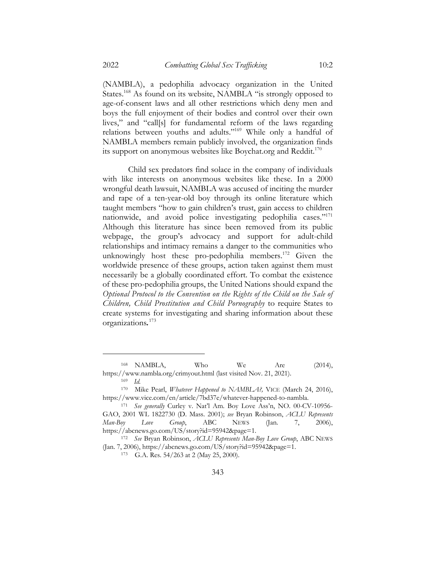(NAMBLA), a pedophilia advocacy organization in the United States.<sup>168</sup> As found on its website, NAMBLA "is strongly opposed to age-of-consent laws and all other restrictions which deny men and boys the full enjoyment of their bodies and control over their own lives," and "call[s] for fundamental reform of the laws regarding relations between youths and adults."169 While only a handful of NAMBLA members remain publicly involved, the organization finds its support on anonymous websites like Boychat.org and Reddit.<sup>170</sup>

Child sex predators find solace in the company of individuals with like interests on anonymous websites like these. In a 2000 wrongful death lawsuit, NAMBLA was accused of inciting the murder and rape of a ten-year-old boy through its online literature which taught members "how to gain children's trust, gain access to children nationwide, and avoid police investigating pedophilia cases."<sup>171</sup> Although this literature has since been removed from its public webpage, the group's advocacy and support for adult-child relationships and intimacy remains a danger to the communities who unknowingly host these pro-pedophilia members.<sup>172</sup> Given the worldwide presence of these groups, action taken against them must necessarily be a globally coordinated effort. To combat the existence of these pro-pedophilia groups, the United Nations should expand the *Optional Protocol to the Convention on the Rights of the Child on the Sale of Children, Child Prostitution and Child Pornography* to require States to create systems for investigating and sharing information about these organizations*.* 173

<sup>168</sup> NAMBLA, Who We Are (2014), https://www.nambla.org/crimyout.html (last visited Nov. 21, 2021).

<sup>169</sup> *Id.*

<sup>170</sup> Mike Pearl, *Whatever Happened to NAMBLA?,* VICE (March 24, 2016), https://www.vice.com/en/article/7bd37e/whatever-happened-to-nambla.

<sup>171</sup> *See generally* Curley v. Nat'l Am. Boy Love Ass'n, NO. 00-CV-10956- GAO, 2001 WL 1822730 (D. Mass. 2001); *see* Bryan Robinson, *ACLU Represents Man-Boy Love Group*, ABC NEWS (Jan. 7, 2006), https://abcnews.go.com/US/story?id=95942&page=1.

<sup>172</sup> *See* Bryan Robinson, *ACLU Represents Man-Boy Love Group*, ABC NEWS (Jan. 7, 2006), https://abcnews.go.com/US/story?id=95942&page=1.

<sup>173</sup> G.A. Res. 54/263 at 2 (May 25, 2000).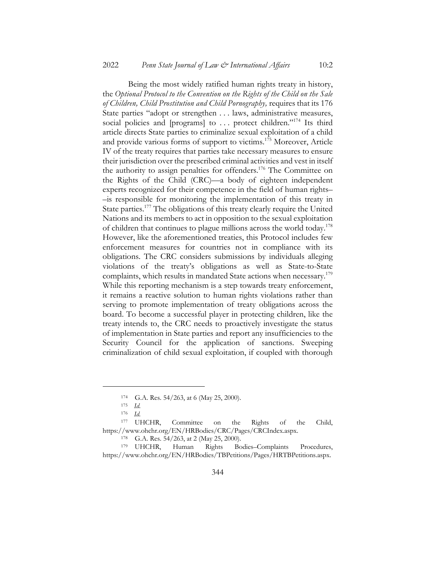Being the most widely ratified human rights treaty in history, the *Optional Protocol to the Convention on the Rights of the Child on the Sale of Children, Child Prostitution and Child Pornography,* requires that its 176 State parties "adopt or strengthen . . . laws, administrative measures, social policies and [programs] to ... protect children."<sup>174</sup> Its third article directs State parties to criminalize sexual exploitation of a child and provide various forms of support to victims.175 Moreover, Article IV of the treaty requires that parties take necessary measures to ensure their jurisdiction over the prescribed criminal activities and vest in itself the authority to assign penalties for offenders.<sup>176</sup> The Committee on the Rights of the Child (CRC)––a body of eighteen independent experts recognized for their competence in the field of human rights– –is responsible for monitoring the implementation of this treaty in State parties.177 The obligations of this treaty clearly require the United Nations and its members to act in opposition to the sexual exploitation of children that continues to plague millions across the world today.178 However, like the aforementioned treaties, this Protocol includes few enforcement measures for countries not in compliance with its obligations. The CRC considers submissions by individuals alleging violations of the treaty's obligations as well as State-to-State complaints, which results in mandated State actions when necessary.<sup>179</sup> While this reporting mechanism is a step towards treaty enforcement, it remains a reactive solution to human rights violations rather than serving to promote implementation of treaty obligations across the board. To become a successful player in protecting children, like the treaty intends to, the CRC needs to proactively investigate the status of implementation in State parties and report any insufficiencies to the Security Council for the application of sanctions. Sweeping criminalization of child sexual exploitation, if coupled with thorough

<sup>174</sup> G.A. Res. 54/263, at 6 (May 25, 2000).

<sup>175</sup> *Id.*

<sup>176</sup> *Id.*

<sup>177</sup> UHCHR, Committee on the Rights of the Child, https://www.ohchr.org/EN/HRBodies/CRC/Pages/CRCIndex.aspx.

<sup>178</sup> G.A. Res. 54/263, at 2 (May 25, 2000).

<sup>179</sup> UHCHR, Human Rights Bodies–Complaints Procedures, https://www.ohchr.org/EN/HRBodies/TBPetitions/Pages/HRTBPetitions.aspx.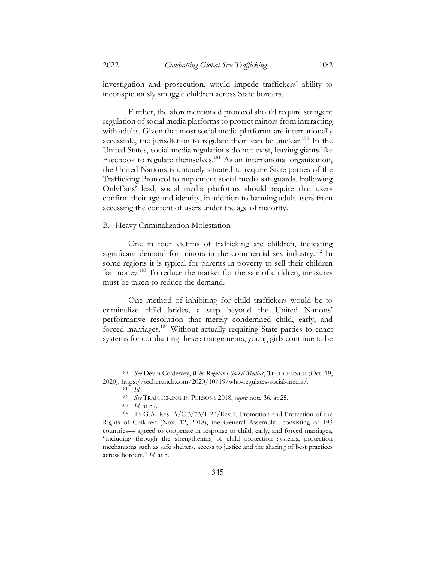investigation and prosecution, would impede traffickers' ability to inconspicuously smuggle children across State borders.

Further, the aforementioned protocol should require stringent regulation of social media platforms to protect minors from interacting with adults. Given that most social media platforms are internationally accessible, the jurisdiction to regulate them can be unclear.<sup>180</sup> In the United States, social media regulations do not exist, leaving giants like Facebook to regulate themselves.<sup>181</sup> As an international organization, the United Nations is uniquely situated to require State parties of the Trafficking Protocol to implement social media safeguards. Following OnlyFans' lead, social media platforms should require that users confirm their age and identity, in addition to banning adult users from accessing the content of users under the age of majority.

### B. Heavy Criminalization Molestation

One in four victims of trafficking are children, indicating significant demand for minors in the commercial sex industry.<sup>182</sup> In some regions it is typical for parents in poverty to sell their children for money.183 To reduce the market for the sale of children, measures must be taken to reduce the demand.

One method of inhibiting for child traffickers would be to criminalize child brides, a step beyond the United Nations' performative resolution that merely condemned child, early, and forced marriages.<sup>184</sup> Without actually requiring State parties to enact systems for combatting these arrangements, young girls continue to be

<sup>180</sup> *See* Devin Coldewey, *Who Regulates Social Media?*, TECHCRUNCH (Oct. 19, 2020), https://techcrunch.com/2020/10/19/who-regulates-social-media/.

<sup>181</sup> *Id.*

<sup>182</sup> *See* TRAFFICKING IN PERSONS 2018, *supra* note 36, at 25.

<sup>183</sup> *Id.* at 57.

<sup>184</sup> In G.A. Res. A/C.3/73/L.22/Rev.1, Promotion and Protection of the Rights of Children (Nov. 12, 2018), the General Assembly––consisting of 193 countries–– agreed to cooperate in response to child, early, and forced marriages, "including through the strengthening of child protection systems, protection mechanisms such as safe shelters, access to justice and the sharing of best practices across borders." *Id.* at 5.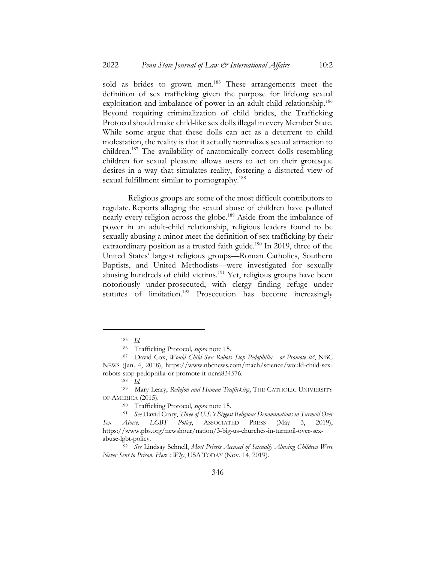sold as brides to grown men.<sup>185</sup> These arrangements meet the definition of sex trafficking given the purpose for lifelong sexual exploitation and imbalance of power in an adult-child relationship.<sup>186</sup> Beyond requiring criminalization of child brides, the Trafficking Protocol should make child-like sex dolls illegal in every Member State. While some argue that these dolls can act as a deterrent to child molestation, the reality is that it actually normalizes sexual attraction to children.187 The availability of anatomically correct dolls resembling children for sexual pleasure allows users to act on their grotesque desires in a way that simulates reality, fostering a distorted view of sexual fulfillment similar to pornography.<sup>188</sup>

Religious groups are some of the most difficult contributors to regulate. Reports alleging the sexual abuse of children have polluted nearly every religion across the globe.<sup>189</sup> Aside from the imbalance of power in an adult-child relationship, religious leaders found to be sexually abusing a minor meet the definition of sex trafficking by their extraordinary position as a trusted faith guide.<sup>190</sup> In 2019, three of the United States' largest religious groups––Roman Catholics, Southern Baptists, and United Methodists––were investigated for sexually abusing hundreds of child victims.<sup>191</sup> Yet, religious groups have been notoriously under-prosecuted, with clergy finding refuge under statutes of limitation.<sup>192</sup> Prosecution has become increasingly

<sup>185</sup> *Id.*

<sup>186</sup> Trafficking Protocol*, supra* note 15.

<sup>187</sup> David Cox, *Would Child Sex Robots Stop Pedophilia––or Promote it?*, NBC NEWS (Jan. 4, 2018), https://www.nbcnews.com/mach/science/would-child-sexrobots-stop-pedophilia-or-promote-it-ncna834576.

<sup>188</sup> *Id.*

<sup>&</sup>lt;sup>189</sup> Mary Leary, *Religion and Human Trafficking*, THE CATHOLIC UNIVERSITY OF AMERICA (2015).

<sup>190</sup> Trafficking Protocol*, supra* note 15.

<sup>191</sup> *See* David Crary, *Three of U.S.'s Biggest Religious Denominations in Turmoil Over Sex Abuse, LGBT Policy*, ASSOCIATED PRESS (May 3, 2019), https://www.pbs.org/newshour/nation/3-big-us-churches-in-turmoil-over-sexabuse-lgbt-policy.

<sup>192</sup> *See* Lindsay Schnell, *Most Priests Accused of Sexually Abusing Children Were Never Sent to Prison. Here's Why*, USA TODAY (Nov. 14, 2019).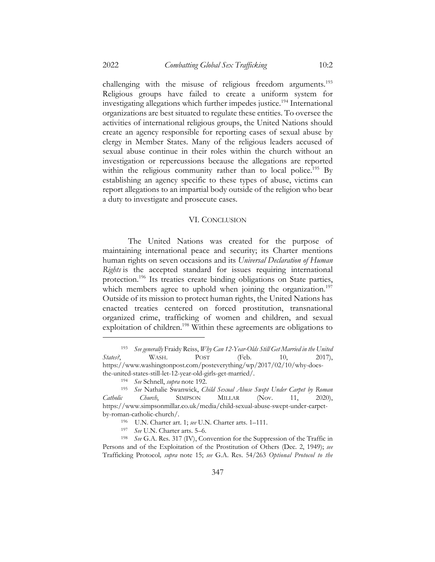challenging with the misuse of religious freedom arguments.<sup>193</sup> Religious groups have failed to create a uniform system for investigating allegations which further impedes justice.<sup>194</sup> International organizations are best situated to regulate these entities. To oversee the activities of international religious groups, the United Nations should create an agency responsible for reporting cases of sexual abuse by clergy in Member States. Many of the religious leaders accused of sexual abuse continue in their roles within the church without an investigation or repercussions because the allegations are reported within the religious community rather than to local police.<sup>195</sup> By establishing an agency specific to these types of abuse, victims can report allegations to an impartial body outside of the religion who bear a duty to investigate and prosecute cases.

#### VI. CONCLUSION

The United Nations was created for the purpose of maintaining international peace and security; its Charter mentions human rights on seven occasions and its *Universal Declaration of Human Rights* is the accepted standard for issues requiring international protection.<sup>196</sup> Its treaties create binding obligations on State parties, which members agree to uphold when joining the organization.<sup>197</sup> Outside of its mission to protect human rights, the United Nations has enacted treaties centered on forced prostitution, transnational organized crime, trafficking of women and children, and sexual exploitation of children.<sup>198</sup> Within these agreements are obligations to

<sup>193</sup> *See generally* Fraidy Reiss, *Why Can 12-Year-Olds Still Get Married in the United States?*, WASH. POST (Feb. 10, 2017), https://www.washingtonpost.com/posteverything/wp/2017/02/10/why-doesthe-united-states-still-let-12-year-old-girls-get-married/.

<sup>194</sup> *See* Schnell, *supra* note 192.

<sup>195</sup> *See* Nathalie Swanwick, *Child Sexual Abuse Swept Under Carpet by Roman Catholic Church*, SIMPSON MILLAR (Nov. 11, 2020), https://www.simpsonmillar.co.uk/media/child-sexual-abuse-swept-under-carpetby-roman-catholic-church/.

<sup>196</sup> U.N. Charter art. 1; *see* U.N. Charter arts. 1–111.

<sup>197</sup> *See* U.N. Charter arts. 5–6.

<sup>198</sup> *See* G.A. Res. 317 (IV), Convention for the Suppression of the Traffic in Persons and of the Exploitation of the Prostitution of Others (Dec. 2, 1949); *see*  Trafficking Protocol*, supra* note 15; *see* G.A. Res. 54/263 *Optional Protocol to the*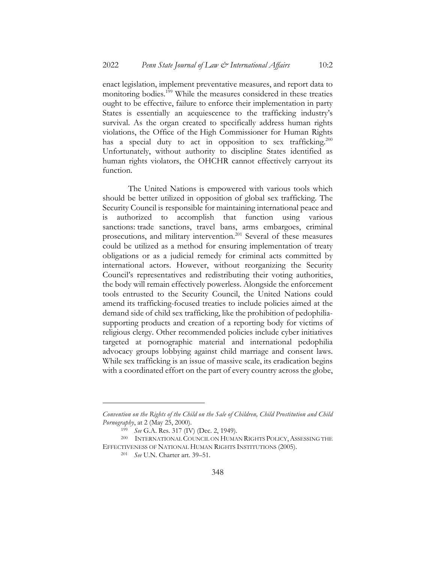enact legislation, implement preventative measures, and report data to monitoring bodies.199 While the measures considered in these treaties ought to be effective, failure to enforce their implementation in party States is essentially an acquiescence to the trafficking industry's survival. As the organ created to specifically address human rights violations, the Office of the High Commissioner for Human Rights has a special duty to act in opposition to sex trafficking.<sup>200</sup> Unfortunately, without authority to discipline States identified as human rights violators, the OHCHR cannot effectively carryout its function.

The United Nations is empowered with various tools which should be better utilized in opposition of global sex trafficking. The Security Council is responsible for maintaining international peace and is authorized to accomplish that function using various sanctions: trade sanctions, travel bans, arms embargoes, criminal prosecutions, and military intervention.<sup>201</sup> Several of these measures could be utilized as a method for ensuring implementation of treaty obligations or as a judicial remedy for criminal acts committed by international actors. However, without reorganizing the Security Council's representatives and redistributing their voting authorities, the body will remain effectively powerless. Alongside the enforcement tools entrusted to the Security Council, the United Nations could amend its trafficking-focused treaties to include policies aimed at the demand side of child sex trafficking, like the prohibition of pedophiliasupporting products and creation of a reporting body for victims of religious clergy. Other recommended policies include cyber initiatives targeted at pornographic material and international pedophilia advocacy groups lobbying against child marriage and consent laws. While sex trafficking is an issue of massive scale, its eradication begins with a coordinated effort on the part of every country across the globe,

*Convention on the Rights of the Child on the Sale of Children, Child Prostitution and Child Pornography*, at 2 (May 25, 2000).

<sup>199</sup> *See* G.A. Res. 317 (IV) (Dec. 2, 1949).

<sup>&</sup>lt;sup>200</sup> INTERNATIONAL COUNCIL ON HUMAN RIGHTS POLICY, ASSESSING THE EFFECTIVENESS OF NATIONAL HUMAN RIGHTS INSTITUTIONS (2005).

<sup>201</sup> *See* U.N. Charter art. 39–51.